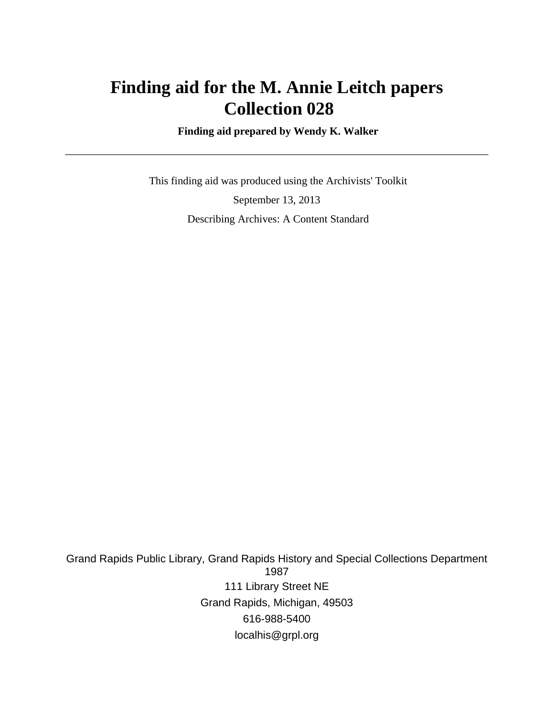# **Finding aid for the M. Annie Leitch papers Collection 028**

 **Finding aid prepared by Wendy K. Walker**

 This finding aid was produced using the Archivists' Toolkit September 13, 2013 Describing Archives: A Content Standard

Grand Rapids Public Library, Grand Rapids History and Special Collections Department 1987 111 Library Street NE Grand Rapids, Michigan, 49503 616-988-5400 localhis@grpl.org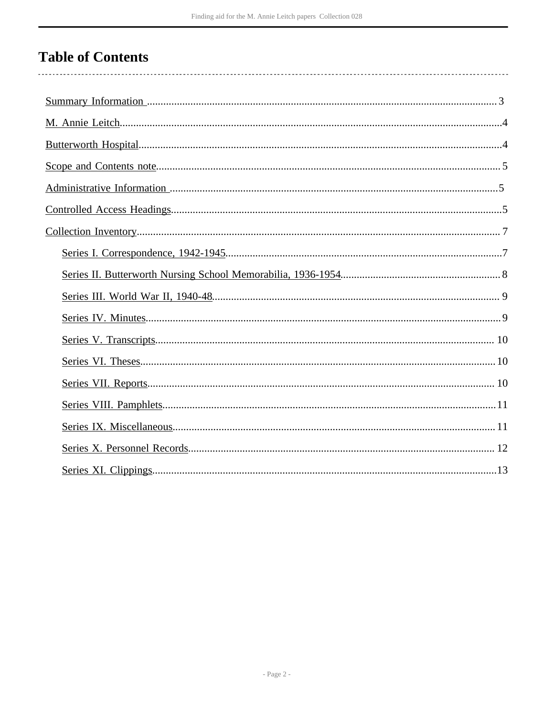# **Table of Contents**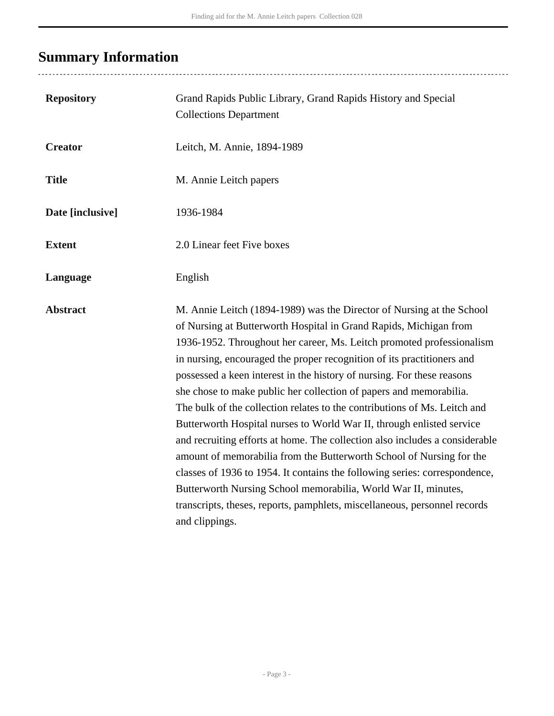# <span id="page-2-0"></span>**Summary Information**

| <b>Repository</b> | Grand Rapids Public Library, Grand Rapids History and Special<br><b>Collections Department</b>                                                                                                                                                                                                                                                                                                                                                                                                                                                                                                                                                                                                                                                                                                                                                                                                                                                                                                            |
|-------------------|-----------------------------------------------------------------------------------------------------------------------------------------------------------------------------------------------------------------------------------------------------------------------------------------------------------------------------------------------------------------------------------------------------------------------------------------------------------------------------------------------------------------------------------------------------------------------------------------------------------------------------------------------------------------------------------------------------------------------------------------------------------------------------------------------------------------------------------------------------------------------------------------------------------------------------------------------------------------------------------------------------------|
| <b>Creator</b>    | Leitch, M. Annie, 1894-1989                                                                                                                                                                                                                                                                                                                                                                                                                                                                                                                                                                                                                                                                                                                                                                                                                                                                                                                                                                               |
| <b>Title</b>      | M. Annie Leitch papers                                                                                                                                                                                                                                                                                                                                                                                                                                                                                                                                                                                                                                                                                                                                                                                                                                                                                                                                                                                    |
| Date [inclusive]  | 1936-1984                                                                                                                                                                                                                                                                                                                                                                                                                                                                                                                                                                                                                                                                                                                                                                                                                                                                                                                                                                                                 |
| <b>Extent</b>     | 2.0 Linear feet Five boxes                                                                                                                                                                                                                                                                                                                                                                                                                                                                                                                                                                                                                                                                                                                                                                                                                                                                                                                                                                                |
| Language          | English                                                                                                                                                                                                                                                                                                                                                                                                                                                                                                                                                                                                                                                                                                                                                                                                                                                                                                                                                                                                   |
| <b>Abstract</b>   | M. Annie Leitch (1894-1989) was the Director of Nursing at the School<br>of Nursing at Butterworth Hospital in Grand Rapids, Michigan from<br>1936-1952. Throughout her career, Ms. Leitch promoted professionalism<br>in nursing, encouraged the proper recognition of its practitioners and<br>possessed a keen interest in the history of nursing. For these reasons<br>she chose to make public her collection of papers and memorabilia.<br>The bulk of the collection relates to the contributions of Ms. Leitch and<br>Butterworth Hospital nurses to World War II, through enlisted service<br>and recruiting efforts at home. The collection also includes a considerable<br>amount of memorabilia from the Butterworth School of Nursing for the<br>classes of 1936 to 1954. It contains the following series: correspondence,<br>Butterworth Nursing School memorabilia, World War II, minutes,<br>transcripts, theses, reports, pamphlets, miscellaneous, personnel records<br>and clippings. |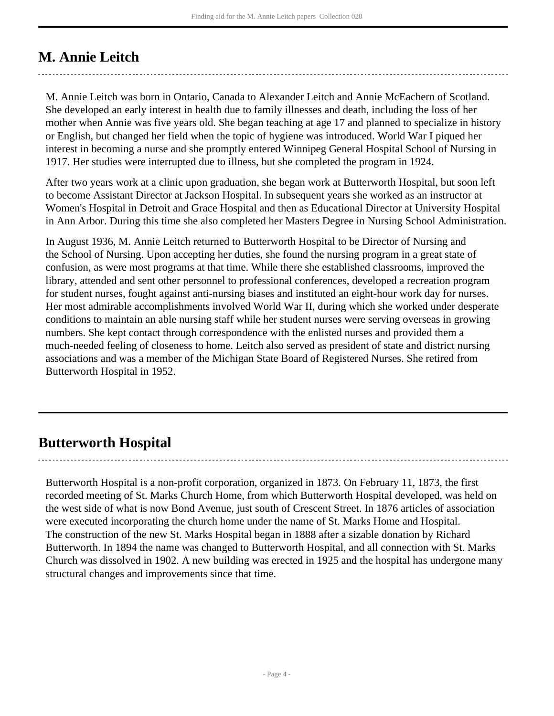# <span id="page-3-0"></span>**M. Annie Leitch**

M. Annie Leitch was born in Ontario, Canada to Alexander Leitch and Annie McEachern of Scotland. She developed an early interest in health due to family illnesses and death, including the loss of her mother when Annie was five years old. She began teaching at age 17 and planned to specialize in history or English, but changed her field when the topic of hygiene was introduced. World War I piqued her interest in becoming a nurse and she promptly entered Winnipeg General Hospital School of Nursing in 1917. Her studies were interrupted due to illness, but she completed the program in 1924.

After two years work at a clinic upon graduation, she began work at Butterworth Hospital, but soon left to become Assistant Director at Jackson Hospital. In subsequent years she worked as an instructor at Women's Hospital in Detroit and Grace Hospital and then as Educational Director at University Hospital in Ann Arbor. During this time she also completed her Masters Degree in Nursing School Administration.

In August 1936, M. Annie Leitch returned to Butterworth Hospital to be Director of Nursing and the School of Nursing. Upon accepting her duties, she found the nursing program in a great state of confusion, as were most programs at that time. While there she established classrooms, improved the library, attended and sent other personnel to professional conferences, developed a recreation program for student nurses, fought against anti-nursing biases and instituted an eight-hour work day for nurses. Her most admirable accomplishments involved World War II, during which she worked under desperate conditions to maintain an able nursing staff while her student nurses were serving overseas in growing numbers. She kept contact through correspondence with the enlisted nurses and provided them a much-needed feeling of closeness to home. Leitch also served as president of state and district nursing associations and was a member of the Michigan State Board of Registered Nurses. She retired from Butterworth Hospital in 1952.

# <span id="page-3-1"></span>**Butterworth Hospital**

Butterworth Hospital is a non-profit corporation, organized in 1873. On February 11, 1873, the first recorded meeting of St. Marks Church Home, from which Butterworth Hospital developed, was held on the west side of what is now Bond Avenue, just south of Crescent Street. In 1876 articles of association were executed incorporating the church home under the name of St. Marks Home and Hospital. The construction of the new St. Marks Hospital began in 1888 after a sizable donation by Richard Butterworth. In 1894 the name was changed to Butterworth Hospital, and all connection with St. Marks Church was dissolved in 1902. A new building was erected in 1925 and the hospital has undergone many structural changes and improvements since that time.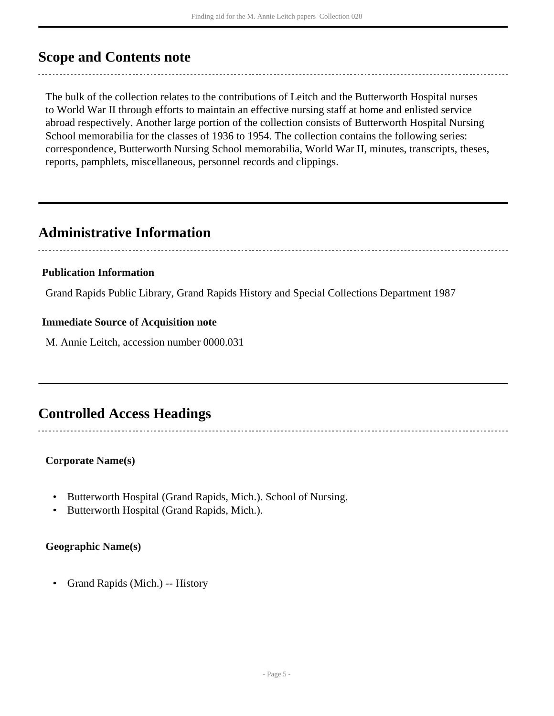## <span id="page-4-0"></span>**Scope and Contents note**

The bulk of the collection relates to the contributions of Leitch and the Butterworth Hospital nurses to World War II through efforts to maintain an effective nursing staff at home and enlisted service abroad respectively. Another large portion of the collection consists of Butterworth Hospital Nursing School memorabilia for the classes of 1936 to 1954. The collection contains the following series: correspondence, Butterworth Nursing School memorabilia, World War II, minutes, transcripts, theses, reports, pamphlets, miscellaneous, personnel records and clippings.

## <span id="page-4-1"></span>**Administrative Information**

#### **Publication Information**

Grand Rapids Public Library, Grand Rapids History and Special Collections Department 1987

### **Immediate Source of Acquisition note**

M. Annie Leitch, accession number 0000.031

# <span id="page-4-2"></span>**Controlled Access Headings**

#### **Corporate Name(s)**

- Butterworth Hospital (Grand Rapids, Mich.). School of Nursing.
- Butterworth Hospital (Grand Rapids, Mich.).

#### **Geographic Name(s)**

• Grand Rapids (Mich.) -- History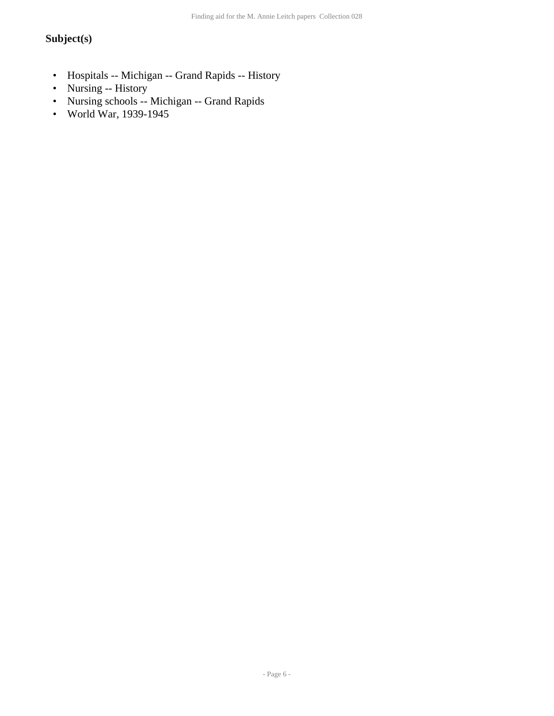### **Subject(s)**

- Hospitals -- Michigan -- Grand Rapids -- History
- Nursing -- History
- Nursing schools -- Michigan -- Grand Rapids
- World War, 1939-1945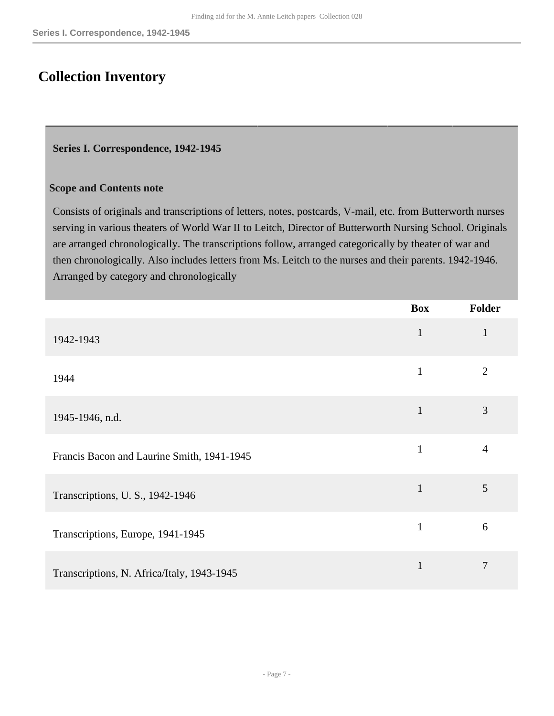## <span id="page-6-0"></span>**Collection Inventory**

#### <span id="page-6-1"></span>**Series I. Correspondence, 1942-1945**

#### **Scope and Contents note**

Consists of originals and transcriptions of letters, notes, postcards, V-mail, etc. from Butterworth nurses serving in various theaters of World War II to Leitch, Director of Butterworth Nursing School. Originals are arranged chronologically. The transcriptions follow, arranged categorically by theater of war and then chronologically. Also includes letters from Ms. Leitch to the nurses and their parents. 1942-1946. Arranged by category and chronologically

|                                            | <b>Box</b>   | <b>Folder</b>  |
|--------------------------------------------|--------------|----------------|
| 1942-1943                                  | $\mathbf{1}$ | $\mathbf{1}$   |
| 1944                                       | $\mathbf{1}$ | $\overline{2}$ |
| 1945-1946, n.d.                            | $\mathbf{1}$ | 3              |
| Francis Bacon and Laurine Smith, 1941-1945 | $\mathbf{1}$ | $\overline{4}$ |
| Transcriptions, U. S., 1942-1946           | $\mathbf{1}$ | 5              |
| Transcriptions, Europe, 1941-1945          | $\mathbf{1}$ | 6              |
| Transcriptions, N. Africa/Italy, 1943-1945 | $\mathbf{1}$ | 7              |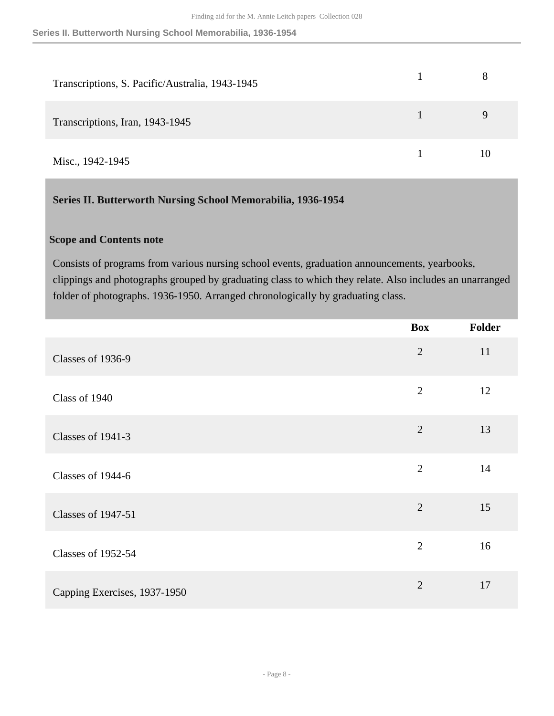| Transcriptions, S. Pacific/Australia, 1943-1945 |    |
|-------------------------------------------------|----|
| Transcriptions, Iran, 1943-1945                 | Q  |
| Misc., 1942-1945                                | 10 |

### <span id="page-7-0"></span>**Series II. Butterworth Nursing School Memorabilia, 1936-1954**

### **Scope and Contents note**

Consists of programs from various nursing school events, graduation announcements, yearbooks, clippings and photographs grouped by graduating class to which they relate. Also includes an unarranged folder of photographs. 1936-1950. Arranged chronologically by graduating class.

|                              | <b>Box</b>     | Folder |
|------------------------------|----------------|--------|
| Classes of 1936-9            | $\overline{2}$ | 11     |
| Class of 1940                | $\overline{2}$ | 12     |
| Classes of 1941-3            | $\overline{2}$ | 13     |
| Classes of 1944-6            | $\overline{2}$ | 14     |
| <b>Classes of 1947-51</b>    | $\overline{2}$ | 15     |
| <b>Classes of 1952-54</b>    | $\overline{2}$ | 16     |
| Capping Exercises, 1937-1950 | $\overline{2}$ | 17     |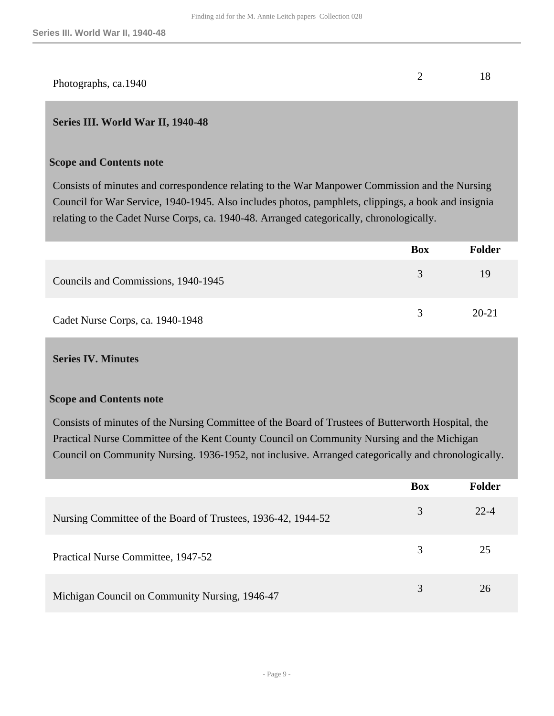| Photographs, ca.1940 |  |
|----------------------|--|

#### <span id="page-8-0"></span>**Series III. World War II, 1940-48**

#### **Scope and Contents note**

Consists of minutes and correspondence relating to the War Manpower Commission and the Nursing Council for War Service, 1940-1945. Also includes photos, pamphlets, clippings, a book and insignia relating to the Cadet Nurse Corps, ca. 1940-48. Arranged categorically, chronologically.

|                                     | Box | <b>Folder</b> |
|-------------------------------------|-----|---------------|
| Councils and Commissions, 1940-1945 | 3   | 19            |
| Cadet Nurse Corps, ca. 1940-1948    | 3   | $20 - 21$     |

#### <span id="page-8-1"></span>**Series IV. Minutes**

#### **Scope and Contents note**

Consists of minutes of the Nursing Committee of the Board of Trustees of Butterworth Hospital, the Practical Nurse Committee of the Kent County Council on Community Nursing and the Michigan Council on Community Nursing. 1936-1952, not inclusive. Arranged categorically and chronologically.

|                                                              | <b>Box</b> | <b>Folder</b> |
|--------------------------------------------------------------|------------|---------------|
| Nursing Committee of the Board of Trustees, 1936-42, 1944-52 | 3          | 22-4          |
| Practical Nurse Committee, 1947-52                           | 3          | 25            |
| Michigan Council on Community Nursing, 1946-47               | 3          | 26            |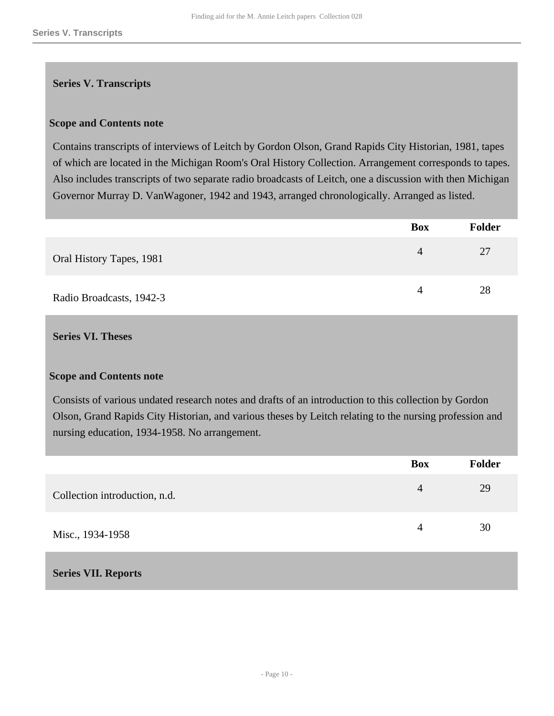### <span id="page-9-0"></span>**Series V. Transcripts**

#### **Scope and Contents note**

Contains transcripts of interviews of Leitch by Gordon Olson, Grand Rapids City Historian, 1981, tapes of which are located in the Michigan Room's Oral History Collection. Arrangement corresponds to tapes. Also includes transcripts of two separate radio broadcasts of Leitch, one a discussion with then Michigan Governor Murray D. VanWagoner, 1942 and 1943, arranged chronologically. Arranged as listed.

|                          | <b>Box</b> | <b>Folder</b> |
|--------------------------|------------|---------------|
| Oral History Tapes, 1981 | 4          | 27            |
| Radio Broadcasts, 1942-3 |            | 28            |

#### <span id="page-9-1"></span>**Series VI. Theses**

#### **Scope and Contents note**

Consists of various undated research notes and drafts of an introduction to this collection by Gordon Olson, Grand Rapids City Historian, and various theses by Leitch relating to the nursing profession and nursing education, 1934-1958. No arrangement.

|                               | <b>Box</b> | <b>Folder</b> |
|-------------------------------|------------|---------------|
| Collection introduction, n.d. | 4          | 29            |
| Misc., 1934-1958              | 4          | 30            |
|                               |            |               |

<span id="page-9-2"></span>**Series VII. Reports**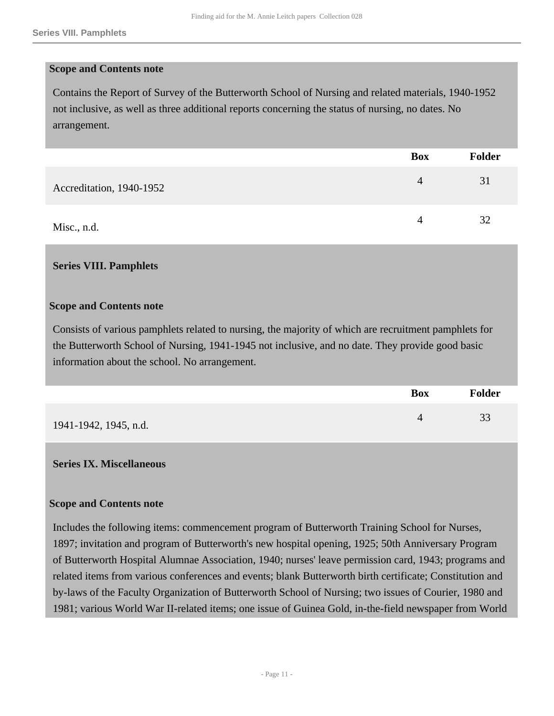#### **Scope and Contents note**

Contains the Report of Survey of the Butterworth School of Nursing and related materials, 1940-1952 not inclusive, as well as three additional reports concerning the status of nursing, no dates. No arrangement.

|                          | <b>Box</b> | Folder |
|--------------------------|------------|--------|
| Accreditation, 1940-1952 | 4          | 31     |
| Misc., n.d.              |            | 32     |

#### <span id="page-10-0"></span>**Series VIII. Pamphlets**

#### **Scope and Contents note**

Consists of various pamphlets related to nursing, the majority of which are recruitment pamphlets for the Butterworth School of Nursing, 1941-1945 not inclusive, and no date. They provide good basic information about the school. No arrangement.

|                       | <b>Box</b> | <b>Folder</b> |
|-----------------------|------------|---------------|
| 1941-1942, 1945, n.d. |            | 33            |

#### <span id="page-10-1"></span>**Series IX. Miscellaneous**

#### **Scope and Contents note**

Includes the following items: commencement program of Butterworth Training School for Nurses, 1897; invitation and program of Butterworth's new hospital opening, 1925; 50th Anniversary Program of Butterworth Hospital Alumnae Association, 1940; nurses' leave permission card, 1943; programs and related items from various conferences and events; blank Butterworth birth certificate; Constitution and by-laws of the Faculty Organization of Butterworth School of Nursing; two issues of Courier, 1980 and 1981; various World War II-related items; one issue of Guinea Gold, in-the-field newspaper from World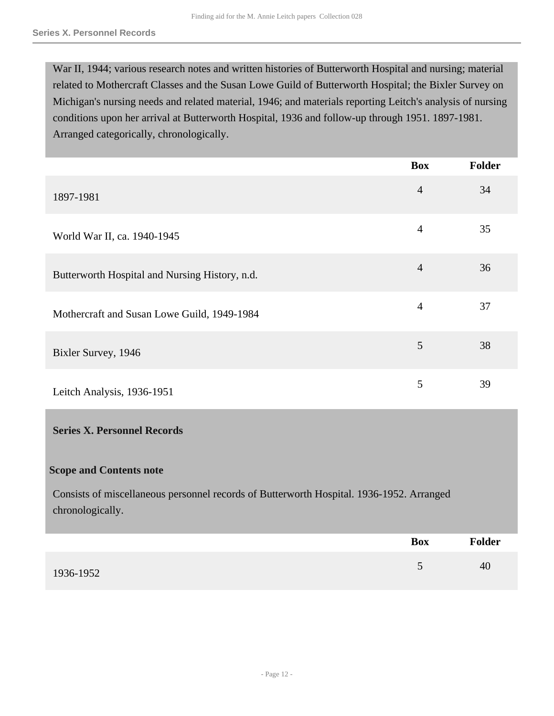War II, 1944; various research notes and written histories of Butterworth Hospital and nursing; material related to Mothercraft Classes and the Susan Lowe Guild of Butterworth Hospital; the Bixler Survey on Michigan's nursing needs and related material, 1946; and materials reporting Leitch's analysis of nursing conditions upon her arrival at Butterworth Hospital, 1936 and follow-up through 1951. 1897-1981. Arranged categorically, chronologically.

<span id="page-11-0"></span>

|                                                                                                              | <b>Box</b>     | <b>Folder</b> |
|--------------------------------------------------------------------------------------------------------------|----------------|---------------|
| 1897-1981                                                                                                    | $\overline{4}$ | 34            |
| World War II, ca. 1940-1945                                                                                  | $\overline{4}$ | 35            |
| Butterworth Hospital and Nursing History, n.d.                                                               | $\overline{4}$ | 36            |
| Mothercraft and Susan Lowe Guild, 1949-1984                                                                  | $\overline{4}$ | 37            |
| Bixler Survey, 1946                                                                                          | 5              | 38            |
| Leitch Analysis, 1936-1951                                                                                   | 5              | 39            |
| <b>Series X. Personnel Records</b>                                                                           |                |               |
| <b>Scope and Contents note</b>                                                                               |                |               |
| Consists of miscellaneous personnel records of Butterworth Hospital. 1936-1952. Arranged<br>chronologically. |                |               |
|                                                                                                              | <b>Box</b>     | <b>Folder</b> |
| 1936-1952                                                                                                    | 5              | 40            |